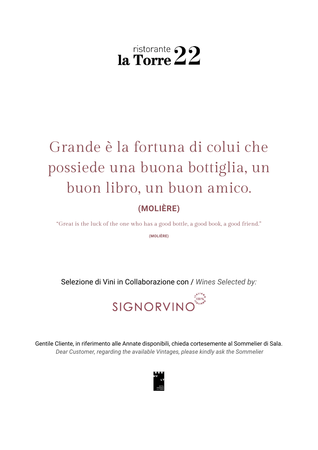# **(MOLIÈRE)** Grande è la fortuna di colui che possiede una buona bottiglia, un buon libro, un buon amico.

"Great is the luck of the one who has a good bottle, a good book, a good friend."

**(MOLIÈRE)**

Selezione di Vini in Collaborazione con / *Wines Selected by:*



Gentile Cliente, in riferimento alle Annate disponibili, chieda cortesemente al Sommelier di Sala. *Dear Customer, regarding the available Vintages, please kindly ask the Sommelier*

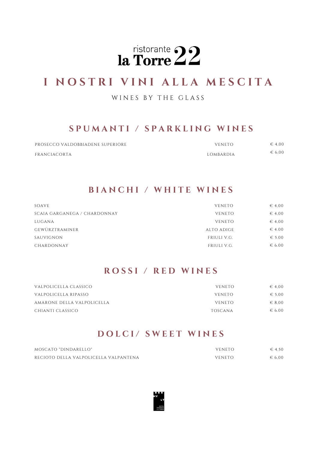

# **I N O S T R I V I N I A L L A M E S C I T A**

#### WINES BY THE GLASS

### **S P U M A N T I / S P A R K L I N G W I N E S**

| PROSECCO VALDOBBIADENE SUPERIORE | <b>VENETO</b> | $\epsilon$ 4.00 |
|----------------------------------|---------------|-----------------|
| FRANCIACORTA                     | LOMBARDIA     | $\epsilon$ 6.00 |

#### **B I A N C H I / W H I T E W I N E S**

| SOAVE                        | <b>VENETO</b> | $\epsilon$ 4,00 |
|------------------------------|---------------|-----------------|
| SCAIA GARGANEGA / CHARDONNAY | <b>VENETO</b> | $\epsilon$ 4,00 |
| LUGANA                       | <b>VENETO</b> | $\epsilon$ 4,00 |
| GEWÜRZTRAMINER               | ALTO ADIGE    | $\in$ 4.00      |
| SAUVIGNON                    | FRIULI V.G.   | $\epsilon$ 5.00 |
| CHARDONNAY                   | FRIULI V.G.   | $\epsilon$ 6.00 |

#### **R O S S I / R E D W I N E S**

| VALPOLICELLA CLASSICO      | <b>VENETO</b> | $\epsilon$ 4.00 |
|----------------------------|---------------|-----------------|
| VALPOLICELLA RIPASSO       | VENETO        | $\epsilon$ 5.00 |
| AMARONE DELLA VALPOLICELLA | <b>VENETO</b> | $\epsilon$ 8.00 |
| CHIANTI CLASSICO           | TOSCANA       | $\epsilon$ 6.00 |

### **D O L C I / S W E E T W I N E S**

| MOSCATO "DINDARELLO"                  | <b>VENETO</b> | $\epsilon$ 4.50 |
|---------------------------------------|---------------|-----------------|
| RECIOTO DELLA VALPOLICELLA VALPANTENA | <b>VENETO</b> | $\epsilon$ 6.00 |

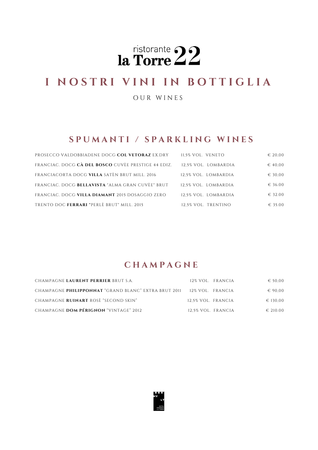

# **I N O S T R I V I N I I N B O T T I G L I A**

O U R W I N E S

#### **S P U M A N T I / S P A R K L I N G W I N E S**

| PROSECCO VALDOBBIADENE DOCG COL VETORAZ EX.DRY      | 11.5% VOL. VENETO    | $\in 20,00$ |
|-----------------------------------------------------|----------------------|-------------|
| FRANCIAC. DOCG CÀ DEL BOSCO CUVÈE PRESTIGE 44 EDIZ. | 12.5% VOL. LOMBARDIA | $\in 40,00$ |
| FRANCIACORTA DOCG VILLA SATÈN BRUT MILL, 2016       | 12.5% VOL. LOMBARDIA | $\in$ 30,00 |
| FRANCIAC. DOCG BELLAVISTA "ALMA GRAN CUVÈE" BRUT    | 12.5% VOL. LOMBARDIA | € 36.00     |
| FRANCIAC. DOCG VILLA DIAMANT 2015 DOSAGGIO ZERO     | 12.5% VOL. LOMBARDIA | $\in$ 32.00 |
| TRENTO DOC FERRARI "PERLÈ BRUT" MILL. 2015          | 12.5% VOL. TRENTINO  | € 35.00     |

### **C H A M P A G N E**

| CHAMPAGNE LAURENT PERRIER BRUT S.A.                                   | 12% VOL. FRANCIA   | $\epsilon$ 50.00  |
|-----------------------------------------------------------------------|--------------------|-------------------|
| CHAMPAGNE PHILIPPONNAT "GRAND BLANC" EXTRA BRUT 2011 12% VOL. FRANCIA |                    | $\epsilon$ 90.00  |
| CHAMPAGNE RUINART ROSÈ "SECOND SKIN"                                  | 12.5% VOL. FRANCIA | € 130.00          |
| CHAMPAGNE DOM PÉRIGNON "VINTAGE" 2012                                 | 12.5% VOL. FRANCIA | $\epsilon$ 210.00 |

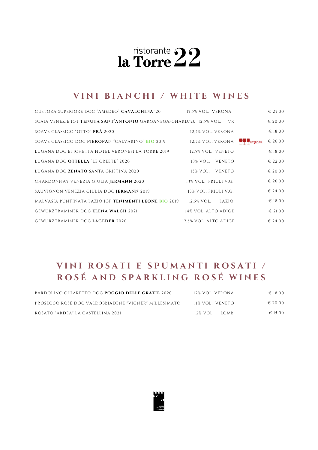# **V I N I B I A N C H I / W H I T E W I N E S**

| CUSTOZA SUPERIORE DOC "AMEDEO" CAVALCHINA '20                               | 13.5% VOL. VERONA     | $\in 25,00$ |
|-----------------------------------------------------------------------------|-----------------------|-------------|
| SCAIA VENEZIE IGT <b>TENUTA SANT'ANTONIO</b> GARGANEGA/CHARD.'20 12.5% VOL. | <b>VR</b>             | $\in 20,00$ |
| SOAVE CLASSICO "OTTO" PRÀ 2020                                              | 12.5% VOL. VERONA     | $\in 18,00$ |
| SOAVE CLASSICO DOC PIEROPAN "CALVARINO" BIO 2019                            | 12,5% VOL. VERONA     | $\in 26.00$ |
| LUGANA DOC ETICHETTA HOTEL VERONESI LA TORRE 2019                           | 12.5% VOL. VENETO     | $\in$ 18.00 |
| LUGANA DOC OTTELLA "LE CREETE" 2020                                         | 13% VOL. VENETO       | $\in 22.00$ |
| LUGANA DOC <b>ZENATO</b> SANTA CRISTINA 2020                                | 13% VOL. VENETO       | $\in 20.00$ |
| CHARDONNAY VENEZIA GIULIA JERMANN 2020                                      | 13% VOL. FRIULI V.G.  | $\in 26.00$ |
| SAUVIGNON VENEZIA GIULIA DOC JERMANN 2019                                   | 13% VOL. FRIULI V.G.  | $\in$ 24.00 |
| MALVASIA PUNTINATA LAZIO IGP <b>TENIMENTI LEONE BIO</b> 2019                | 12.5% VOL.<br>LAZIO   | $\in$ 18.00 |
| GEWÜRZTRAMINER DOC ELENA WALCH 2021                                         | 14% VOL. ALTO ADIGE   | $\in 21.00$ |
| GEWÜRZTRAMINER DOC LAGEDER 2020                                             | 12.5% VOL. ALTO ADIGE | $\in 24.00$ |

# VINI ROSATI E SPUMANTI ROSATI / **R O S É A N D S P A R K L I N G R O S É W I N E S**

| BARDOLINO CHIARETTO DOC POGGIO DELLE GRAZIE 2020     | 12% VOL. VERONA | ∈ 18.00          |
|------------------------------------------------------|-----------------|------------------|
| PROSECCO ROSÉ DOC VALDOBBIADENE "VIGNÈR" MILLESIMATO | 11% VOL. VENETO | $\epsilon$ 20.00 |
| ROSATO "ARDEA" LA CASTELLINA 2021                    | 12% VOL. LOMB.  | $\epsilon$ 15.00 |

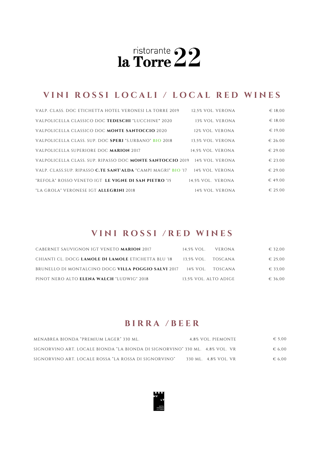# VINI ROSSI LOCALI / LOCAL RED WINES

| VALP. CLASS. DOC ETICHETTA HOTEL VERONESI LA TORRE 2019                                     | 12.5% VOL. VERONA | $\in$ 18.00 |
|---------------------------------------------------------------------------------------------|-------------------|-------------|
| VALPOLICELLA CLASSICO DOC TEDESCHI "LUCCHINE" 2020                                          | 13% VOL. VERONA   | € 18,00     |
| VALPOLICELLA CLASSICO DOC MONTE SANTOCCIO 2020                                              | 12% VOL. VERONA   | $\in$ 19,00 |
| VALPOLICELLA CLASS. SUP. DOC SPERI "S.URBANO" BIO 2018                                      | 13.5% VOL. VERONA | $\in 26.00$ |
| VALPOLICELLA SUPERIORE DOC MARION 2017                                                      | 14.5% VOL. VERONA | $\in 29.00$ |
| VALPOLICELLA CLASS. SUP. RIPASSO DOC MONTE SANTOCCIO 2019 14% VOL. VERONA                   |                   | $\in 23.00$ |
| VALP. CLASS.SUP. RIPASSO <b>C.TE SANT'ALDA</b> "CAMPI MAGRI" <b>BIO</b> '17 14% VOL. VERONA |                   | $-6.29.00$  |
| "REFOLÀ" ROSSO VENETO IGT. LE VIGNE DI SAN PIETRO '15                                       | 14.5% VOL. VERONA | $-649.00$   |
| "LA GROLA" VERONESE IGT ALLEGRINI 2018                                                      | 14% VOL. VERONA   | $\in 25.00$ |

### **V I N I R O S S I / R E D W I N E S**

| CABERNET SAUVIGNON IGT VENETO <b>MARION</b> 2017           | 14.5% VOL.            | VERONA             | € 32.00          |
|------------------------------------------------------------|-----------------------|--------------------|------------------|
| CHIANTI CL. DOCG <b>LAMOLE DI LAMOLE</b> ETICHETTA BLU '18 | 13.5% VOL. TOSCANA    |                    | $\epsilon$ 25.00 |
| BRUNELLO DI MONTALCINO DOCG <b>VILLA POGGIO SALVI</b> 2017 |                       | 14% VOL. – TOSCANA | € 33.00          |
| PINOT NERO ALTO ELENA WALCH "LUDWIG" 2018                  | 13.5% VOL. ALTO ADIGE |                    | € 36.00          |

### **B I R R A / B E E R**

| MENABREA BIONDA "PREMIUM LAGER" 330 ML.                                      | 4.8% VOL. PIEMONTE   | $\epsilon$ 5.00 |
|------------------------------------------------------------------------------|----------------------|-----------------|
| SIGNORVINO ART. LOCALE BIONDA "LA BIONDA DI SIGNORVINO" 330 ML. 4.8% VOL. VR |                      | $\epsilon$ 6.00 |
| SIGNORVINO ART. LOCALE ROSSA "LA ROSSA DI SIGNORVINO"                        | 330 ML. 4,8% VOL. VR | $\epsilon$ 6.00 |

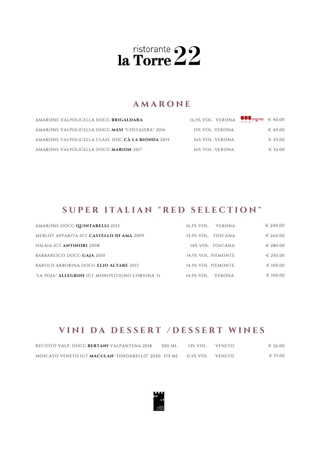### **A M A R O N E**

| AMARONE VALPOLICELLA DOCG BRIGALDARA              | 16.5% VOL. VERONA $\bullet$ CHEERS $\epsilon$ 40.00 |                  |
|---------------------------------------------------|-----------------------------------------------------|------------------|
| AMARONE VALPOLICELLA DOCG MASI "COSTASERA" 2016   | 15% VOL. VERONA                                     | $\in 40.00$      |
| AMARONE VALPOLICELLA CLASS. DOC CÀ LA BIONDA 2015 | 16% VOL. VERONA                                     | $\in$ 45.00      |
| AMARONE VALPOLICELLA DOCG MARION 2017             | 16% VOL. VERONA                                     | $\epsilon$ 52.00 |

## SUPER ITALIAN "RED SELECTION"

| AMARONE DOCG QUINTARELLI 2013                          | VERONA<br>16.5% VOL. | $\in$ 240.00      |
|--------------------------------------------------------|----------------------|-------------------|
| MERLOT APPARITA IGT CASTELLO DI AMA 2009               | 13.5% VOL. TOSCANA   | $\in 260,00$      |
| SOLAIA IGT <b>ANTINORI</b> 2008                        | 14% VOL. TOSCANA     | $\in 280.00$      |
| BARBARESCO DOCG GAJA 2010                              | 14.5% VOL. PIEMONTE  | $\in 250.00$      |
| BAROLO ARBORINA DOCG ELIO ALTARE 2013                  | 14.5% VOL. PIEMONTE  | $\epsilon$ 100.00 |
| "LA POJA" <b>ALLEGRINI</b> IGT MONOVITIGNO CORVINA '11 | 14.5% VOL. VERONA    | $\epsilon$ 100.00 |

### VINI DA DESSERT /DESSERT WINES

| RECIOTO VALP. DOCG <b>BERTANI</b> VALPANTENA 2018                     | 500 ML | 13% VOL. | VENETO | $\epsilon$ 26.00 |
|-----------------------------------------------------------------------|--------|----------|--------|------------------|
| MOSCATO VENETO IGT <b>MACULAN</b> "DINDARELLO" 2020 375 ML 11.5% VOL. |        |          | VENETO | $\epsilon$ 19.00 |